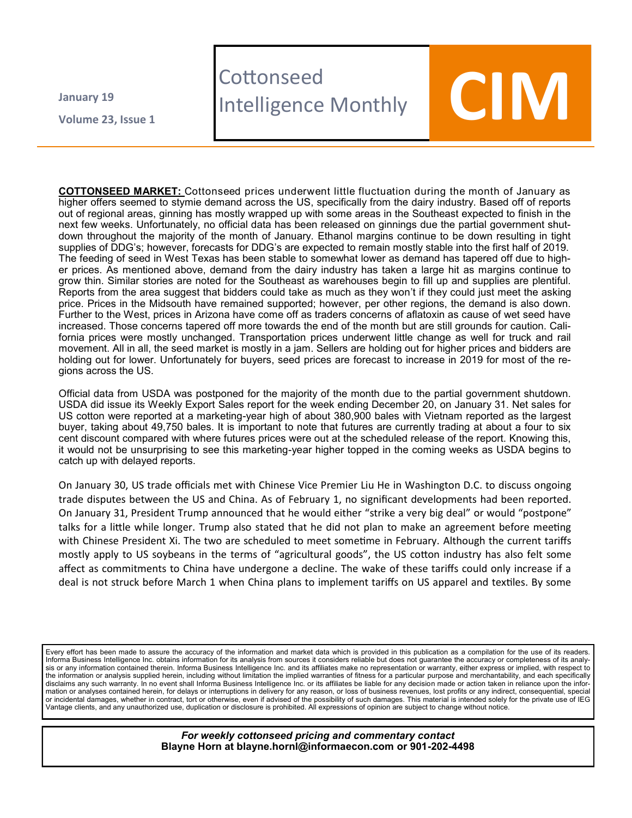**January 19**

**Volume 23 , Issue 1**

## **Cottonseed**

## LOTTONSeed<br>Intelligence Monthly **COMPUTER**

**COTTONSEED MARKET:** Cottonseed prices underwent little fluctuation during the month of January as higher offers seemed to stymie demand across the US, specifically from the dairy industry. Based off of reports out of regional areas, ginning has mostly wrapped up with some areas in the Southeast expected to finish in the next few weeks. Unfortunately, no official data has been released on ginnings due the partial government shutdown throughout the majority of the month of January. Ethanol margins continue to be down resulting in tight supplies of DDG's; however, forecasts for DDG's are expected to remain mostly stable into the first half of 2019. The feeding of seed in West Texas has been stable to somewhat lower as demand has tapered off due to higher prices. As mentioned above, demand from the dairy industry has taken a large hit as margins continue to grow thin. Similar stories are noted for the Southeast as warehouses begin to fill up and supplies are plentiful. Reports from the area suggest that bidders could take as much as they won't if they could just meet the asking price. Prices in the Midsouth have remained supported; however, per other regions, the demand is also down. Further to the West, prices in Arizona have come off as traders concerns of aflatoxin as cause of wet seed have increased. Those concerns tapered off more towards the end of the month but are still grounds for caution. California prices were mostly unchanged. Transportation prices underwent little change as well for truck and rail movement. All in all, the seed market is mostly in a jam. Sellers are holding out for higher prices and bidders are holding out for lower. Unfortunately for buyers, seed prices are forecast to increase in 2019 for most of the regions across the US.

Official data from USDA was postponed for the majority of the month due to the partial government shutdown. USDA did issue its Weekly Export Sales report for the week ending December 20, on January 31. Net sales for US cotton were reported at a marketing-year high of about 380,900 bales with Vietnam reported as the largest buyer, taking about 49,750 bales. It is important to note that futures are currently trading at about a four to six cent discount compared with where futures prices were out at the scheduled release of the report. Knowing this, it would not be unsurprising to see this marketing-year higher topped in the coming weeks as USDA begins to catch up with delayed reports.

On January 30, US trade officials met with Chinese Vice Premier Liu He in Washington D.C. to discuss ongoing trade disputes between the US and China. As of February 1, no significant developments had been reported. On January 31, President Trump announced that he would either "strike a very big deal" or would "postpone" talks for a little while longer. Trump also stated that he did not plan to make an agreement before meeting with Chinese President Xi. The two are scheduled to meet sometime in February. Although the current tariffs mostly apply to US soybeans in the terms of "agricultural goods", the US cotton industry has also felt some affect as commitments to China have undergone a decline. The wake of these tariffs could only increase if a deal is not struck before March 1 when China plans to implement tariffs on US apparel and textiles. By some

Every effort has been made to assure the accuracy of the information and market data which is provided in this publication as a compilation for the use of its readers. Informa Business Intelligence Inc. obtains information for its analysis from sources it considers reliable but does not guarantee the accuracy or completeness of its analysis or any information contained therein. Informa Business Intelligence Inc. and its affiliates make no representation or warranty, either express or implied, with respect to the information or analysis supplied herein, including without limitation the implied warranties of fitness for a particular purpose and merchantability, and each specifically disclaims any such warranty. In no event shall Informa Business Intelligence Inc. or its affiliates be liable for any decision made or action taken in reliance upon the information or analyses contained herein, for delays or interruptions in delivery for any reason, or loss of business revenues, lost profits or any indirect, consequential, special or incidental damages, whether in contract, tort or otherwise, even if advised of the possibility of such damages. This material is intended solely for the private use of IEG Vantage clients, and any unauthorized use, duplication or disclosure is prohibited. All expressions of opinion are subject to change without notice.

> *For weekly cottonseed pricing and commentary contact* **Blayne Horn at blayne.hornl@informaecon.com or 901-202-4498**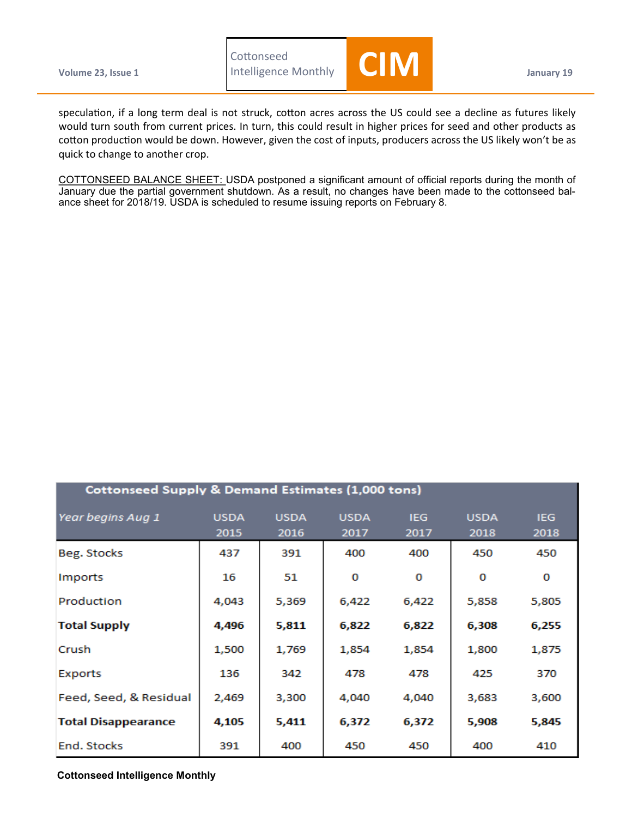**Cottonseed** 



speculation, if a long term deal is not struck, cotton acres across the US could see a decline as futures likely would turn south from current prices. In turn, this could result in higher prices for seed and other products as cotton production would be down. However, given the cost of inputs, producers across the US likely won't be as quick to change to another crop.

COTTONSEED BALANCE SHEET: USDA postponed a significant amount of official reports during the month of January due the partial government shutdown. As a result, no changes have been made to the cottonseed balance sheet for 2018/19. USDA is scheduled to resume issuing reports on February 8.

| <b>Cottonseed Supply &amp; Demand Estimates (1,000 tons)</b> |                     |                     |                     |                    |                     |                    |  |
|--------------------------------------------------------------|---------------------|---------------------|---------------------|--------------------|---------------------|--------------------|--|
| Year begins Aug 1                                            | <b>USDA</b><br>2015 | <b>USDA</b><br>2016 | <b>USDA</b><br>2017 | <b>IEG</b><br>2017 | <b>USDA</b><br>2018 | <b>IEG</b><br>2018 |  |
| Beg. Stocks                                                  | 437                 | 391                 | 400                 | 400                | 450                 | 450                |  |
| Imports                                                      | 16                  | 51                  | O                   | O                  | 0                   | O                  |  |
| Production                                                   | 4,043               | 5,369               | 6,422               | 6,422              | 5,858               | 5,805              |  |
| <b>Total Supply</b>                                          | 4,496               | 5,811               | 6,822               | 6,822              | 6,308               | 6,255              |  |
| Crush                                                        | 1,500               | 1,769               | 1,854               | 1,854              | 1,800               | 1,875              |  |
| Exports                                                      | 136                 | 342                 | 478                 | 478                | 425                 | 370                |  |
| Feed, Seed, & Residual                                       | 2,469               | 3,300               | 4,040               | 4,040              | 3,683               | 3,600              |  |
| <b>Total Disappearance</b>                                   | 4,105               | 5,411               | 6,372               | 6,372              | 5,908               | 5,845              |  |
| End. Stocks                                                  | 391                 | 400                 | 450                 | 450                | 400                 | 410                |  |

## **Cottonseed Intelligence Monthly**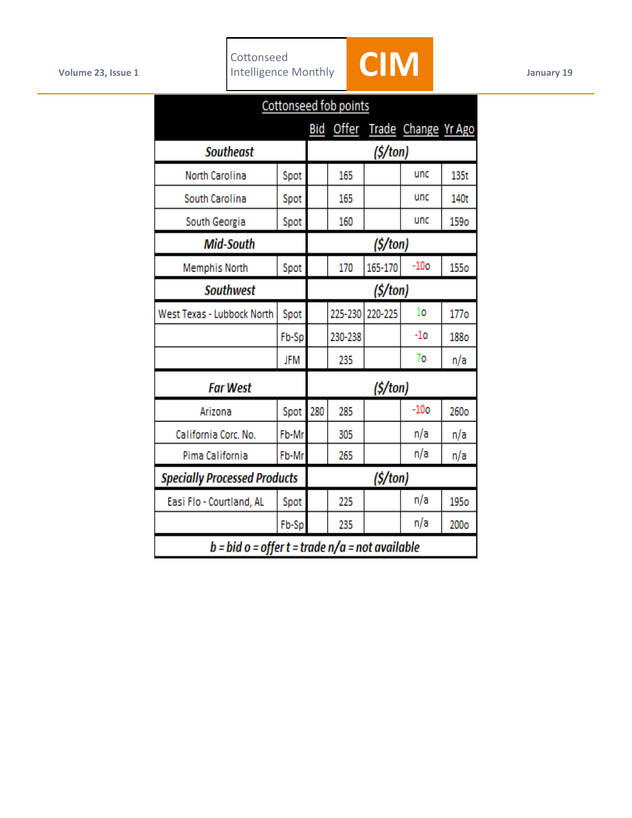

| Cottonseed fob points                           |            |            |         |         |                           |                  |  |  |
|-------------------------------------------------|------------|------------|---------|---------|---------------------------|------------------|--|--|
|                                                 |            | <u>Bid</u> |         |         | Offer Trade Change Yr Ago |                  |  |  |
| <b>Southeast</b>                                |            |            |         | (S/ton) |                           |                  |  |  |
| North Carolina                                  | Spot       |            | 165     |         | unc                       | 135t             |  |  |
| South Carolina                                  | Spot       |            | 165     |         | unc                       | 140t             |  |  |
| South Georgia                                   | Spot       |            | 160     |         | unc                       | 159o             |  |  |
| <b>Mid-South</b>                                |            | (S/ton)    |         |         |                           |                  |  |  |
| Memphis North                                   | Spot       |            | 170     | 165-170 | $-100$                    | 155o             |  |  |
| <b>Southwest</b>                                |            |            | (S/ton) |         |                           |                  |  |  |
| West Texas - Lubbock North                      | Spot       |            | 225-230 | 220-225 | 10                        | 177 <sub>0</sub> |  |  |
|                                                 | Fb-Sp      |            | 230-238 |         | $-10$                     | <b>1880</b>      |  |  |
|                                                 | <b>JFM</b> |            | 235     |         | 70                        | n/a              |  |  |
| <b>Far West</b>                                 |            | (S/ton)    |         |         |                           |                  |  |  |
| Arizona                                         | Spot       | 280        | 285     |         | $-100$                    | 260o             |  |  |
| California Corc. No.                            | Fb-Mr      |            | 305     |         | n/a                       | n/a              |  |  |
| Pima California                                 | Fb-Mr      |            | 265     |         | n/a                       | n/a              |  |  |
| <b>Specially Processed Products</b>             |            | (S/ton)    |         |         |                           |                  |  |  |
| Easi Flo - Courtland, AL                        | Spot       |            | 225     |         | n/a                       | 195o             |  |  |
|                                                 | Fb-Sp      |            | 235     |         | n/a                       | 200o             |  |  |
| b = bid o = offer t = trade n/a = not available |            |            |         |         |                           |                  |  |  |